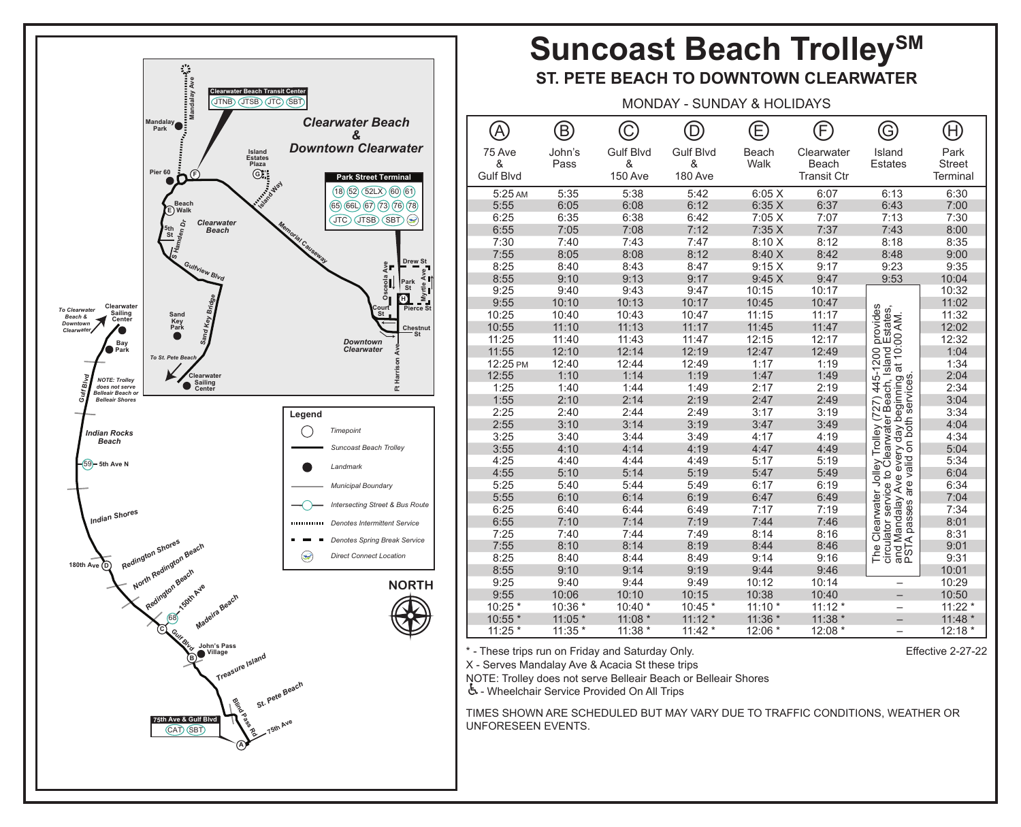

## Suncoast Beach Trolley<sup>SM</sup>

## **ST. PETE BEACH TO DOWNTOWN CLEARWATER**

MONDAY - SUNDAY & HOLIDAYS

|                  | $\bm{\mathrm{B}}$ |                  | ח                | Έ        | F                  | G                                                                                                                                                   | $\left(\mathsf{H}\right)$ |
|------------------|-------------------|------------------|------------------|----------|--------------------|-----------------------------------------------------------------------------------------------------------------------------------------------------|---------------------------|
| 75 Ave           | John's            | <b>Gulf Blvd</b> | <b>Gulf Blvd</b> | Beach    | Clearwater         | Island                                                                                                                                              | Park                      |
| &                | Pass              | &                | &                | Walk     | <b>Beach</b>       | <b>Estates</b>                                                                                                                                      | <b>Street</b>             |
| <b>Gulf Blvd</b> |                   | <b>150 Ave</b>   | 180 Ave          |          | <b>Transit Ctr</b> |                                                                                                                                                     | Terminal                  |
| 5:25 AM          | 5:35              | 5:38             | 5:42             | 6:05X    | 6:07               | 6:13                                                                                                                                                | 6:30                      |
| 5:55             | 6:05              | 6:08             | 6:12             | 6:35X    | 6:37               | 6:43                                                                                                                                                | 7:00                      |
| 6:25             | 6:35              | 6:38             | 6:42             | 7:05 X   | 7:07               | 7:13                                                                                                                                                | 7:30                      |
| 6:55             | 7:05              | 7:08             | 7:12             | 7:35 X   | 7:37               | 7:43                                                                                                                                                | 8:00                      |
| 7:30             | 7:40              | 7:43             | 7:47             | 8:10 X   | 8:12               | 8:18                                                                                                                                                | 8:35                      |
| 7:55             | 8:05              | 8:08             | 8:12             | 8:40 X   | 8:42               | 8:48                                                                                                                                                | 9:00                      |
| 8:25             | 8:40              | 8:43             | 8:47             | 9:15X    | 9:17               | 9:23                                                                                                                                                | 9:35                      |
| 8:55             | 9:10              | 9:13             | 9:17             | 9:45 X   | 9:47               | 9:53                                                                                                                                                | 10:04                     |
| 9:25             | 9:40              | 9:43             | 9:47             | 10:15    | 10:17              |                                                                                                                                                     | 10:32                     |
| 9:55             | 10:10             | 10:13            | 10:17            | 10:45    | 10:47              |                                                                                                                                                     | 11:02                     |
| 10:25            | 10:40             | 10:43            | 10:47            | 11:15    | 11:17              | The Clearwater Jolley Trolley (727) 445-1200 provides<br>circulator service to Clearwater Beach, Island Estates,<br>Island Estates,<br>at 10:00 AM. | 11:32                     |
| 10:55            | 11:10             | 11:13            | 11:17            | 11:45    | 11:47              |                                                                                                                                                     | 12:02                     |
| 11:25            | 11:40             | 11:43            | 11:47            | 12:15    | 12:17              |                                                                                                                                                     | 12:32                     |
| 11:55            | 12:10             | 12:14            | 12:19            | 12:47    | 12:49              |                                                                                                                                                     | 1:04                      |
| 12:25 PM         | 12:40             | 12:44            | 12:49            | 1:17     | 1:19               |                                                                                                                                                     | 1:34                      |
| 12:55            | 1:10              | 1:14             | 1:19             | 1:47     | 1:49               |                                                                                                                                                     | 2:04                      |
| 1:25             | 1:40              | 1:44             | 1:49             | 2:17     | 2:19               |                                                                                                                                                     | 2:34                      |
| 1:55             | 2:10              | 2:14             | 2:19             | 2:47     | 2:49               |                                                                                                                                                     | 3:04                      |
| 2:25             | 2:40              | 2:44             | 2:49             | 3:17     | 3:19               |                                                                                                                                                     | 3:34                      |
| 2:55             | 3:10              | 3:14             | 3:19             | 3:47     | 3:49               |                                                                                                                                                     | 4:04                      |
| 3:25             | 3:40              | 3:44             | 3:49             | 4:17     | 4:19               |                                                                                                                                                     | 4:34                      |
| 3:55             | 4:10              | 4:14             | 4:19             | 4:47     | 4:49               |                                                                                                                                                     | 5:04                      |
| 4:25             | 4:40              | 4:44             | 4:49             | 5:17     | 5:19               |                                                                                                                                                     | 5:34                      |
| 4:55             | 5:10              | 5:14             | 5:19             | 5:47     | 5:49               |                                                                                                                                                     | 6:04                      |
| 5:25             | 5:40              | 5:44             | 5:49             | 6:17     | 6:19               | Ave every day beginning<br>are valid on both services<br>and Mandalay Ave<br>PSTA passes are v                                                      | 6:34                      |
| 5:55             | 6:10              | 6:14             | 6:19             | 6:47     | 6:49               |                                                                                                                                                     | 7:04                      |
| 6:25             | 6:40              | 6:44             | 6:49             | 7:17     | 7:19               |                                                                                                                                                     | 7:34                      |
| 6:55             | 7:10              | 7:14             | 7:19             | 7:44     | 7:46               |                                                                                                                                                     | 8:01                      |
| 7:25             | 7:40              | 7:44             | 7:49             | 8:14     | 8:16               |                                                                                                                                                     | 8:31                      |
| 7:55             | 8:10              | 8:14             | 8:19             | 8:44     | 8:46               |                                                                                                                                                     | 9:01                      |
| 8:25             | 8:40              | 8:44             | 8:49             | 9:14     | 9:16               |                                                                                                                                                     | 9:31                      |
| 8:55             | 9:10              | 9:14             | 9:19             | 9:44     | 9:46               |                                                                                                                                                     | 10:01                     |
| 9:25             | 9:40              | 9:44             | 9:49             | 10:12    | 10:14              |                                                                                                                                                     | 10:29                     |
| 9:55             | 10:06             | 10:10            | 10:15            | 10:38    | 10:40              |                                                                                                                                                     | 10:50                     |
| 10:25 *          | 10:36 *           | 10:40 *          | 10:45 *          | $11:10*$ | $11:12*$           | $\overline{\phantom{0}}$                                                                                                                            | $11:22*$                  |
| 10:55 *          | $11:05*$          | $11:08*$         | $11:12*$         | 11:36 *  | 11:38 *            |                                                                                                                                                     | 11:48 *                   |
| 11:25 *          | 11:35 *           | 11:38 *          | $11:42*$         | 12:06 *  | 12:08 *            |                                                                                                                                                     | 12:18 *                   |

\* - These trips run on Friday and Saturday Only.

## Effective 2-27-22

X - Serves Mandalay Ave & Acacia St these trips NOTE: Trolley does not serve Belleair Beach or Belleair Shores

♿- Wheelchair Service Provided On All Trips

TIMES SHOWN ARE SCHEDULED BUT MAY VARY DUE TO TRAFFIC CONDITIONS, WEATHER OR UNFORESEEN EVENTS.